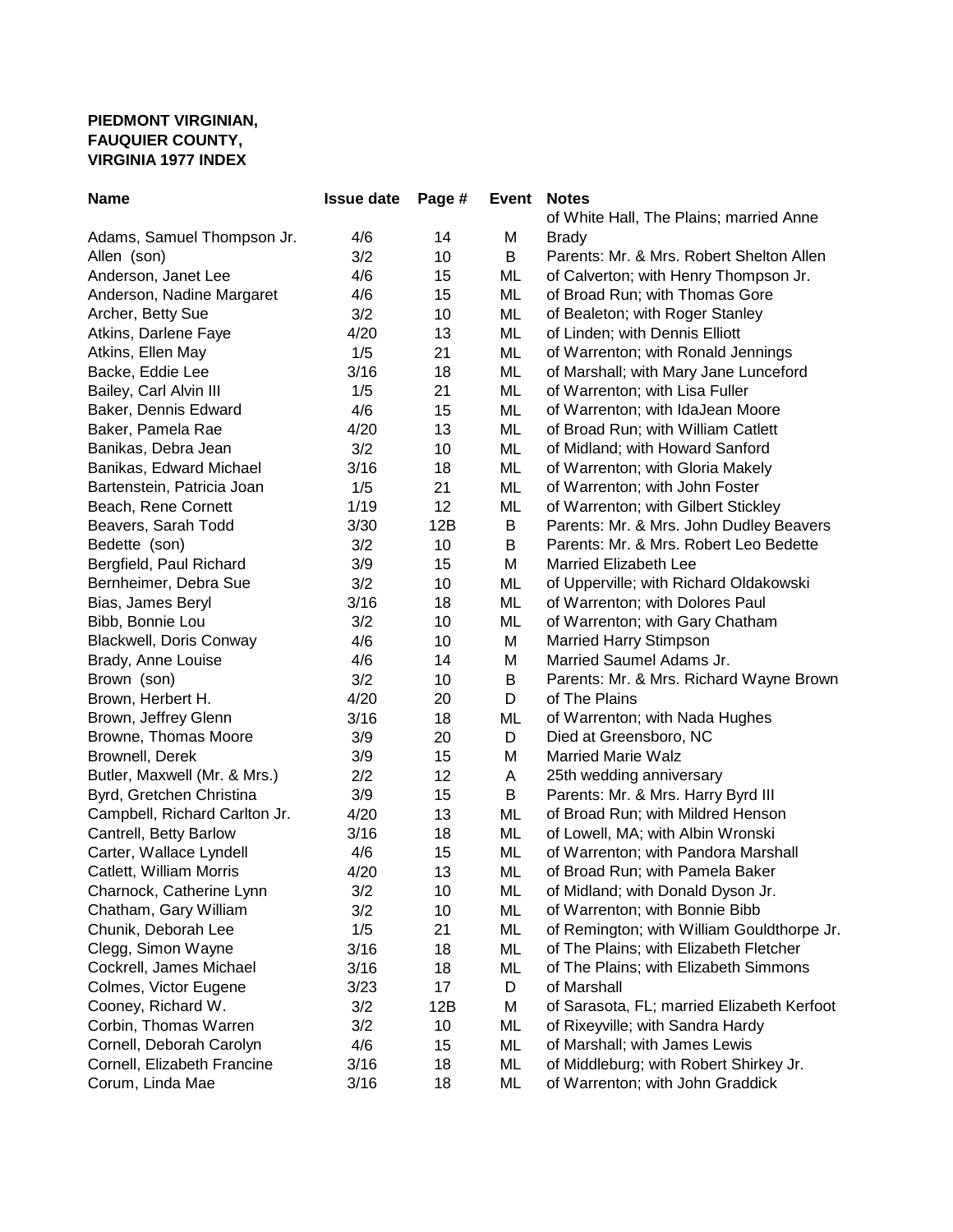## **PIEDMONT VIRGINIAN, FAUQUIER COUNTY, VIRGINIA 1977 INDEX**

| <b>Name</b>                    | <b>Issue date</b> | Page # | Event | <b>Notes</b>                               |
|--------------------------------|-------------------|--------|-------|--------------------------------------------|
|                                |                   |        |       | of White Hall, The Plains; married Anne    |
| Adams, Samuel Thompson Jr.     | 4/6               | 14     | M     | <b>Brady</b>                               |
| Allen (son)                    | 3/2               | 10     | B     | Parents: Mr. & Mrs. Robert Shelton Allen   |
| Anderson, Janet Lee            | 4/6               | 15     | ML    | of Calverton; with Henry Thompson Jr.      |
| Anderson, Nadine Margaret      | 4/6               | 15     | ML    | of Broad Run; with Thomas Gore             |
| Archer, Betty Sue              | 3/2               | 10     | ML    | of Bealeton; with Roger Stanley            |
| Atkins, Darlene Faye           | 4/20              | 13     | ML    | of Linden; with Dennis Elliott             |
| Atkins, Ellen May              | 1/5               | 21     | ML    | of Warrenton; with Ronald Jennings         |
| Backe, Eddie Lee               | 3/16              | 18     | ML    | of Marshall; with Mary Jane Lunceford      |
| Bailey, Carl Alvin III         | 1/5               | 21     | ML    | of Warrenton; with Lisa Fuller             |
| Baker, Dennis Edward           | 4/6               | 15     | ML    | of Warrenton; with IdaJean Moore           |
| Baker, Pamela Rae              | 4/20              | 13     | ML    | of Broad Run; with William Catlett         |
| Banikas, Debra Jean            | 3/2               | 10     | ML    | of Midland; with Howard Sanford            |
| Banikas, Edward Michael        | 3/16              | 18     | ML    | of Warrenton; with Gloria Makely           |
| Bartenstein, Patricia Joan     | 1/5               | 21     | ML    | of Warrenton; with John Foster             |
| Beach, Rene Cornett            | 1/19              | 12     | ML    | of Warrenton; with Gilbert Stickley        |
| Beavers, Sarah Todd            | 3/30              | 12B    | B     | Parents: Mr. & Mrs. John Dudley Beavers    |
| Bedette (son)                  | 3/2               | 10     | B     | Parents: Mr. & Mrs. Robert Leo Bedette     |
| Bergfield, Paul Richard        | 3/9               | 15     | M     | Married Elizabeth Lee                      |
| Bernheimer, Debra Sue          | 3/2               | 10     | ML    | of Upperville; with Richard Oldakowski     |
| Bias, James Beryl              | 3/16              | 18     | ML    | of Warrenton; with Dolores Paul            |
| Bibb, Bonnie Lou               | 3/2               | 10     | ML    | of Warrenton; with Gary Chatham            |
| <b>Blackwell, Doris Conway</b> | 4/6               | 10     | M     | <b>Married Harry Stimpson</b>              |
| Brady, Anne Louise             | 4/6               | 14     | M     | Married Saumel Adams Jr.                   |
| Brown (son)                    | 3/2               | 10     | B     | Parents: Mr. & Mrs. Richard Wayne Brown    |
| Brown, Herbert H.              | 4/20              | 20     | D     | of The Plains                              |
| Brown, Jeffrey Glenn           | 3/16              | 18     | ML    | of Warrenton; with Nada Hughes             |
| Browne, Thomas Moore           | 3/9               | 20     | D     | Died at Greensboro, NC                     |
| Brownell, Derek                | 3/9               | 15     | M     | <b>Married Marie Walz</b>                  |
| Butler, Maxwell (Mr. & Mrs.)   | 2/2               | 12     | Α     | 25th wedding anniversary                   |
| Byrd, Gretchen Christina       | 3/9               | 15     | B     | Parents: Mr. & Mrs. Harry Byrd III         |
| Campbell, Richard Carlton Jr.  | 4/20              | 13     | ML    | of Broad Run; with Mildred Henson          |
| Cantrell, Betty Barlow         | 3/16              | 18     | ML    | of Lowell, MA; with Albin Wronski          |
| Carter, Wallace Lyndell        | 4/6               | 15     | ML    | of Warrenton; with Pandora Marshall        |
| Catlett, William Morris        | 4/20              | 13     | ML    | of Broad Run; with Pamela Baker            |
| Charnock, Catherine Lynn       | 3/2               | 10     | ML    | of Midland; with Donald Dyson Jr.          |
| Chatham, Gary William          | 3/2               | 10     | ML    | of Warrenton; with Bonnie Bibb             |
| Chunik, Deborah Lee            | 1/5               | 21     | ML    | of Remington; with William Gouldthorpe Jr. |
| Clegg, Simon Wayne             | 3/16              | 18     | ML    | of The Plains; with Elizabeth Fletcher     |
| Cockrell, James Michael        | 3/16              | 18     | ML    | of The Plains; with Elizabeth Simmons      |
| Colmes, Victor Eugene          | 3/23              | 17     | D     | of Marshall                                |
| Cooney, Richard W.             | 3/2               | 12B    | M     | of Sarasota, FL; married Elizabeth Kerfoot |
| Corbin, Thomas Warren          | 3/2               | 10     | ML    | of Rixeyville; with Sandra Hardy           |
| Cornell, Deborah Carolyn       | 4/6               | 15     | ML    | of Marshall; with James Lewis              |
| Cornell, Elizabeth Francine    | 3/16              | 18     | ML    | of Middleburg; with Robert Shirkey Jr.     |
| Corum, Linda Mae               | 3/16              | 18     | ML    | of Warrenton; with John Graddick           |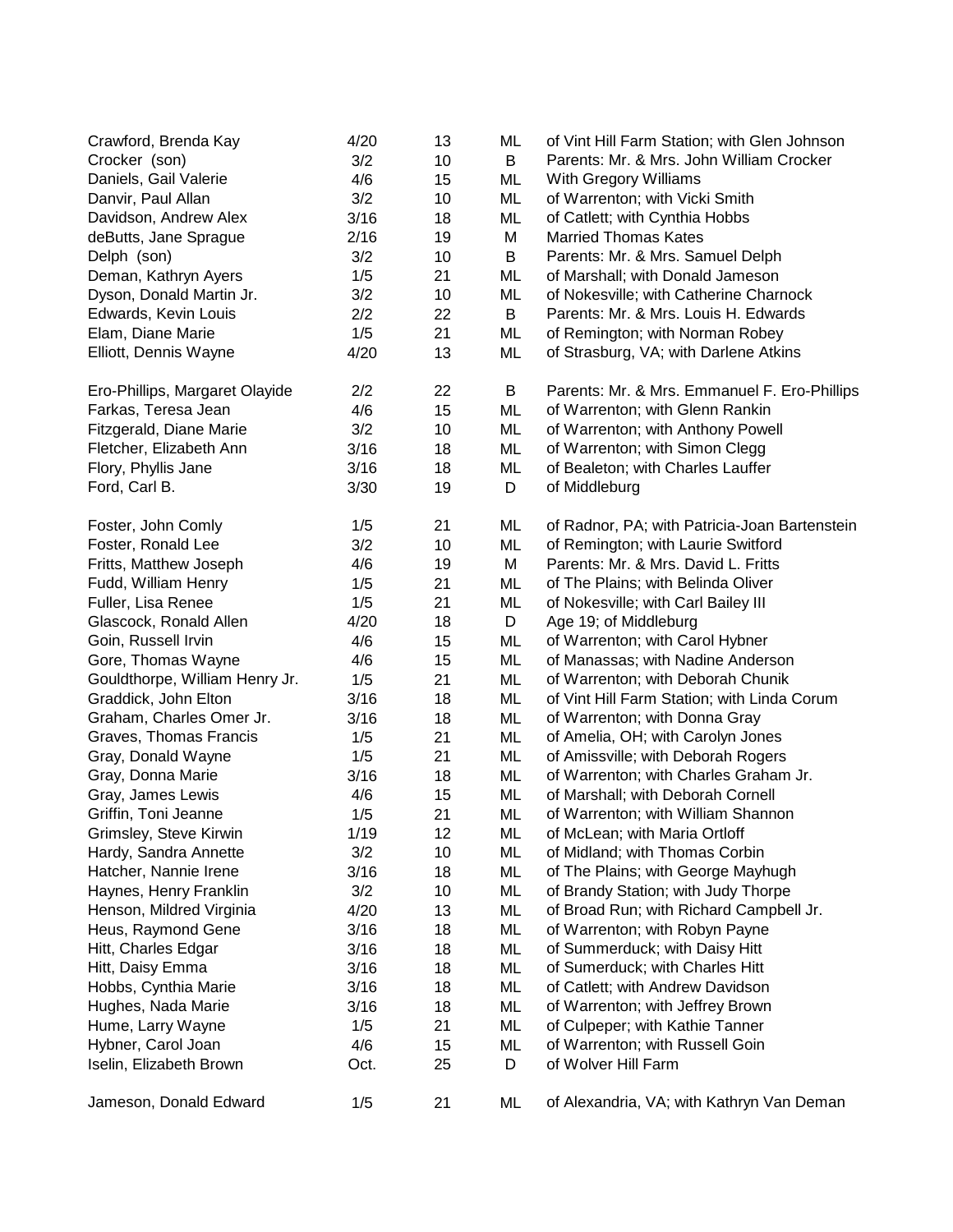| Crawford, Brenda Kay           | 4/20 | 13 | ML | of Vint Hill Farm Station; with Glen Johnson  |
|--------------------------------|------|----|----|-----------------------------------------------|
| Crocker (son)                  | 3/2  | 10 | B  | Parents: Mr. & Mrs. John William Crocker      |
| Daniels, Gail Valerie          | 4/6  | 15 | ML | With Gregory Williams                         |
| Danvir, Paul Allan             | 3/2  | 10 | ML | of Warrenton; with Vicki Smith                |
| Davidson, Andrew Alex          | 3/16 | 18 | ML | of Catlett; with Cynthia Hobbs                |
| deButts, Jane Sprague          | 2/16 | 19 | M  | <b>Married Thomas Kates</b>                   |
| Delph (son)                    | 3/2  | 10 | B  | Parents: Mr. & Mrs. Samuel Delph              |
| Deman, Kathryn Ayers           | 1/5  | 21 | ML | of Marshall; with Donald Jameson              |
| Dyson, Donald Martin Jr.       | 3/2  | 10 | ML | of Nokesville; with Catherine Charnock        |
| Edwards, Kevin Louis           | 2/2  | 22 | B  | Parents: Mr. & Mrs. Louis H. Edwards          |
| Elam, Diane Marie              | 1/5  | 21 | ML | of Remington; with Norman Robey               |
| Elliott, Dennis Wayne          | 4/20 | 13 | ML | of Strasburg, VA; with Darlene Atkins         |
| Ero-Phillips, Margaret Olayide | 2/2  | 22 | В  | Parents: Mr. & Mrs. Emmanuel F. Ero-Phillips  |
| Farkas, Teresa Jean            | 4/6  | 15 | ML | of Warrenton; with Glenn Rankin               |
| Fitzgerald, Diane Marie        | 3/2  | 10 | ML | of Warrenton; with Anthony Powell             |
| Fletcher, Elizabeth Ann        | 3/16 | 18 | ML | of Warrenton; with Simon Clegg                |
| Flory, Phyllis Jane            | 3/16 | 18 | ML | of Bealeton; with Charles Lauffer             |
| Ford, Carl B.                  | 3/30 | 19 | D  | of Middleburg                                 |
|                                |      |    |    |                                               |
| Foster, John Comly             | 1/5  | 21 | ML | of Radnor, PA; with Patricia-Joan Bartenstein |
| Foster, Ronald Lee             | 3/2  | 10 | ML | of Remington; with Laurie Switford            |
| Fritts, Matthew Joseph         | 4/6  | 19 | M  | Parents: Mr. & Mrs. David L. Fritts           |
| Fudd, William Henry            | 1/5  | 21 | ML | of The Plains; with Belinda Oliver            |
| Fuller, Lisa Renee             | 1/5  | 21 | ML | of Nokesville; with Carl Bailey III           |
| Glascock, Ronald Allen         | 4/20 | 18 | D  | Age 19; of Middleburg                         |
| Goin, Russell Irvin            | 4/6  | 15 | ML | of Warrenton; with Carol Hybner               |
| Gore, Thomas Wayne             | 4/6  | 15 | ML | of Manassas; with Nadine Anderson             |
| Gouldthorpe, William Henry Jr. | 1/5  | 21 | ML | of Warrenton; with Deborah Chunik             |
| Graddick, John Elton           | 3/16 | 18 | ML | of Vint Hill Farm Station; with Linda Corum   |
| Graham, Charles Omer Jr.       | 3/16 | 18 | ML | of Warrenton; with Donna Gray                 |
| Graves, Thomas Francis         | 1/5  | 21 | ML | of Amelia, OH; with Carolyn Jones             |
| Gray, Donald Wayne             | 1/5  | 21 | ML | of Amissville; with Deborah Rogers            |
| Gray, Donna Marie              | 3/16 | 18 | ML | of Warrenton; with Charles Graham Jr.         |
| Gray, James Lewis              | 4/6  | 15 | ML | of Marshall; with Deborah Cornell             |
| Griffin, Toni Jeanne           | 1/5  | 21 | ML | of Warrenton; with William Shannon            |
| Grimsley, Steve Kirwin         | 1/19 | 12 | ML | of McLean; with Maria Ortloff                 |
| Hardy, Sandra Annette          | 3/2  | 10 | ML | of Midland; with Thomas Corbin                |
| Hatcher, Nannie Irene          | 3/16 | 18 | ML | of The Plains; with George Mayhugh            |
| Haynes, Henry Franklin         | 3/2  | 10 | ML | of Brandy Station; with Judy Thorpe           |
| Henson, Mildred Virginia       | 4/20 | 13 | ML | of Broad Run; with Richard Campbell Jr.       |
| Heus, Raymond Gene             | 3/16 | 18 | ML | of Warrenton; with Robyn Payne                |
| Hitt, Charles Edgar            | 3/16 | 18 | ML | of Summerduck; with Daisy Hitt                |
| Hitt, Daisy Emma               | 3/16 | 18 | ML | of Sumerduck; with Charles Hitt               |
| Hobbs, Cynthia Marie           | 3/16 | 18 | ML | of Catlett; with Andrew Davidson              |
| Hughes, Nada Marie             | 3/16 | 18 | ML | of Warrenton; with Jeffrey Brown              |
| Hume, Larry Wayne              | 1/5  | 21 | ML | of Culpeper; with Kathie Tanner               |
| Hybner, Carol Joan             | 4/6  | 15 | ML | of Warrenton; with Russell Goin               |
| Iselin, Elizabeth Brown        | Oct. | 25 | D  | of Wolver Hill Farm                           |
| Jameson, Donald Edward         | 1/5  | 21 | ML | of Alexandria, VA; with Kathryn Van Deman     |
|                                |      |    |    |                                               |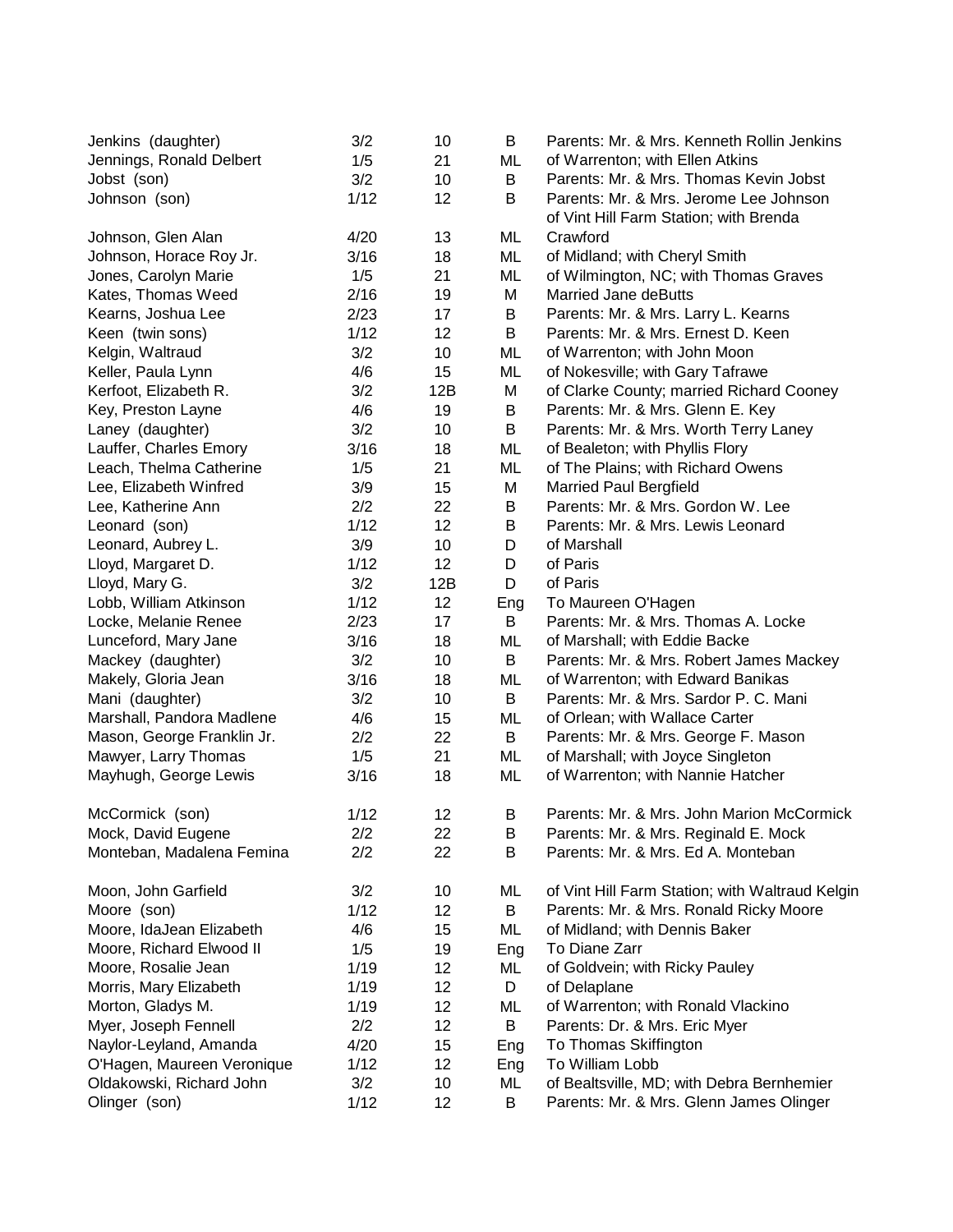| Jenkins (daughter)         | 3/2  | 10  | В   | Parents: Mr. & Mrs. Kenneth Rollin Jenkins                                       |
|----------------------------|------|-----|-----|----------------------------------------------------------------------------------|
| Jennings, Ronald Delbert   | 1/5  | 21  | ML  | of Warrenton; with Ellen Atkins                                                  |
| Jobst (son)                | 3/2  | 10  | B   | Parents: Mr. & Mrs. Thomas Kevin Jobst                                           |
| Johnson (son)              | 1/12 | 12  | В   | Parents: Mr. & Mrs. Jerome Lee Johnson<br>of Vint Hill Farm Station; with Brenda |
| Johnson, Glen Alan         | 4/20 | 13  | ML  | Crawford                                                                         |
| Johnson, Horace Roy Jr.    | 3/16 | 18  | ML  | of Midland; with Cheryl Smith                                                    |
| Jones, Carolyn Marie       | 1/5  | 21  | ML  | of Wilmington, NC; with Thomas Graves                                            |
| Kates, Thomas Weed         | 2/16 | 19  | M   | <b>Married Jane deButts</b>                                                      |
| Kearns, Joshua Lee         | 2/23 | 17  | B   | Parents: Mr. & Mrs. Larry L. Kearns                                              |
| Keen (twin sons)           | 1/12 | 12  | B   | Parents: Mr. & Mrs. Ernest D. Keen                                               |
| Kelgin, Waltraud           | 3/2  | 10  | ML  | of Warrenton; with John Moon                                                     |
| Keller, Paula Lynn         | 4/6  | 15  | ML  | of Nokesville; with Gary Tafrawe                                                 |
| Kerfoot, Elizabeth R.      | 3/2  | 12B | M   | of Clarke County; married Richard Cooney                                         |
| Key, Preston Layne         | 4/6  | 19  | B   | Parents: Mr. & Mrs. Glenn E. Key                                                 |
| Laney (daughter)           | 3/2  | 10  | B   | Parents: Mr. & Mrs. Worth Terry Laney                                            |
| Lauffer, Charles Emory     | 3/16 | 18  | ML  | of Bealeton; with Phyllis Flory                                                  |
| Leach, Thelma Catherine    | 1/5  | 21  | ML  | of The Plains; with Richard Owens                                                |
| Lee, Elizabeth Winfred     | 3/9  | 15  | M   | <b>Married Paul Bergfield</b>                                                    |
| Lee, Katherine Ann         | 2/2  | 22  | B   | Parents: Mr. & Mrs. Gordon W. Lee                                                |
| Leonard (son)              | 1/12 | 12  | B   | Parents: Mr. & Mrs. Lewis Leonard                                                |
| Leonard, Aubrey L.         | 3/9  | 10  | D   | of Marshall                                                                      |
| Lloyd, Margaret D.         | 1/12 | 12  | D   | of Paris                                                                         |
| Lloyd, Mary G.             | 3/2  | 12B | D   | of Paris                                                                         |
| Lobb, William Atkinson     | 1/12 | 12  | Eng | To Maureen O'Hagen                                                               |
| Locke, Melanie Renee       | 2/23 | 17  | B   | Parents: Mr. & Mrs. Thomas A. Locke                                              |
| Lunceford, Mary Jane       | 3/16 | 18  | ML  | of Marshall; with Eddie Backe                                                    |
| Mackey (daughter)          | 3/2  | 10  | B   | Parents: Mr. & Mrs. Robert James Mackey                                          |
| Makely, Gloria Jean        | 3/16 | 18  | ML  | of Warrenton; with Edward Banikas                                                |
| Mani (daughter)            | 3/2  | 10  | В   | Parents: Mr. & Mrs. Sardor P. C. Mani                                            |
| Marshall, Pandora Madlene  | 4/6  | 15  | ML  | of Orlean; with Wallace Carter                                                   |
| Mason, George Franklin Jr. | 2/2  | 22  | B   | Parents: Mr. & Mrs. George F. Mason                                              |
| Mawyer, Larry Thomas       | 1/5  | 21  | ML  | of Marshall; with Joyce Singleton                                                |
| Mayhugh, George Lewis      | 3/16 | 18  | ML  | of Warrenton; with Nannie Hatcher                                                |
| McCormick (son)            | 1/12 | 12  | В   | Parents: Mr. & Mrs. John Marion McCormick                                        |
| Mock, David Eugene         | 2/2  | 22  | B   | Parents: Mr. & Mrs. Reginald E. Mock                                             |
| Monteban, Madalena Femina  | 2/2  | 22  | В   | Parents: Mr. & Mrs. Ed A. Monteban                                               |
| Moon, John Garfield        | 3/2  | 10  | ML  | of Vint Hill Farm Station; with Waltraud Kelgin                                  |
| Moore (son)                | 1/12 | 12  | B   | Parents: Mr. & Mrs. Ronald Ricky Moore                                           |
| Moore, IdaJean Elizabeth   | 4/6  | 15  | ML  | of Midland; with Dennis Baker                                                    |
| Moore, Richard Elwood II   | 1/5  | 19  | Eng | To Diane Zarr                                                                    |
| Moore, Rosalie Jean        | 1/19 | 12  | ML  | of Goldvein; with Ricky Pauley                                                   |
| Morris, Mary Elizabeth     | 1/19 | 12  | D   | of Delaplane                                                                     |
| Morton, Gladys M.          | 1/19 | 12  | ML  | of Warrenton; with Ronald Vlackino                                               |
| Myer, Joseph Fennell       | 2/2  | 12  | В   | Parents: Dr. & Mrs. Eric Myer                                                    |
| Naylor-Leyland, Amanda     | 4/20 | 15  | Eng | To Thomas Skiffington                                                            |
| O'Hagen, Maureen Veronique | 1/12 | 12  | Eng | To William Lobb                                                                  |
| Oldakowski, Richard John   | 3/2  | 10  | ML  | of Bealtsville, MD; with Debra Bernhemier                                        |
| Olinger (son)              | 1/12 | 12  | B   | Parents: Mr. & Mrs. Glenn James Olinger                                          |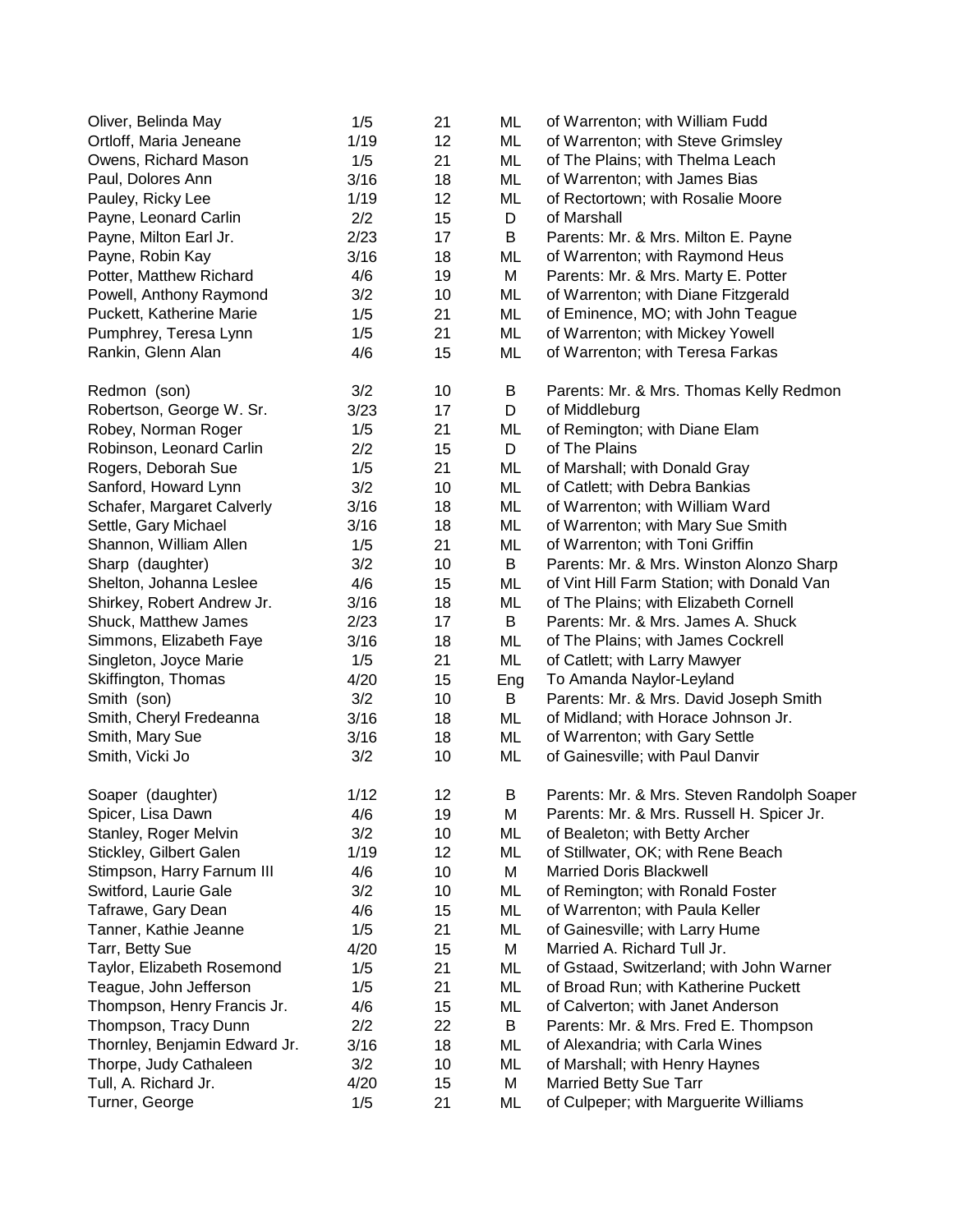| 1/19<br>12<br>ML<br>of Warrenton; with Steve Grimsley<br>21<br>ML<br>1/5<br>of The Plains; with Thelma Leach<br>3/16<br>ML<br>Paul, Dolores Ann<br>18<br>of Warrenton; with James Bias<br>ML<br>Pauley, Ricky Lee<br>1/19<br>12<br>of Rectortown; with Rosalie Moore<br>2/2<br>15<br>Payne, Leonard Carlin<br>D<br>of Marshall<br>2/23<br>B<br>Payne, Milton Earl Jr.<br>17<br>Parents: Mr. & Mrs. Milton E. Payne<br>3/16<br>Payne, Robin Kay<br>18<br>ML<br>of Warrenton; with Raymond Heus<br>Potter, Matthew Richard<br>4/6<br>19<br>M<br>Parents: Mr. & Mrs. Marty E. Potter<br>Powell, Anthony Raymond<br>3/2<br>10<br>ML<br>of Warrenton; with Diane Fitzgerald<br>Puckett, Katherine Marie<br>1/5<br>21<br>ML<br>of Eminence, MO; with John Teague<br>Pumphrey, Teresa Lynn<br>1/5<br>21<br>ML<br>of Warrenton; with Mickey Yowell<br>Rankin, Glenn Alan<br>of Warrenton; with Teresa Farkas<br>4/6<br>15<br>ML<br>3/2<br>Parents: Mr. & Mrs. Thomas Kelly Redmon<br>10<br>B<br>3/23<br>17<br>D<br>of Middleburg<br>of Remington; with Diane Elam<br>1/5<br>21<br>ML<br>D<br>of The Plains<br>2/2<br>15<br>1/5<br>21<br>ML<br>of Marshall; with Donald Gray<br>Sanford, Howard Lynn<br>3/2<br>ML<br>10<br>of Catlett; with Debra Bankias<br>Schafer, Margaret Calverly<br>3/16<br>ML<br>of Warrenton; with William Ward<br>18<br>Settle, Gary Michael<br>of Warrenton; with Mary Sue Smith<br>3/16<br>18<br>ML<br>Shannon, William Allen<br>21<br>ML<br>of Warrenton; with Toni Griffin<br>1/5<br>3/2<br>Parents: Mr. & Mrs. Winston Alonzo Sharp<br>Sharp (daughter)<br>10<br>B<br>Shelton, Johanna Leslee<br>of Vint Hill Farm Station; with Donald Van<br>4/6<br>15<br>ML<br>of The Plains; with Elizabeth Cornell<br>Shirkey, Robert Andrew Jr.<br>3/16<br>18<br>ML<br>Shuck, Matthew James<br>Parents: Mr. & Mrs. James A. Shuck<br>2/23<br>17<br>B<br>Simmons, Elizabeth Faye<br>3/16<br>ML<br>of The Plains; with James Cockrell<br>18<br>Singleton, Joyce Marie<br>ML<br>of Catlett; with Larry Mawyer<br>1/5<br>21<br>Skiffington, Thomas<br>4/20<br>To Amanda Naylor-Leyland<br>15<br>Eng<br>Smith (son)<br>3/2<br>B<br>Parents: Mr. & Mrs. David Joseph Smith<br>10<br>Smith, Cheryl Fredeanna<br>3/16<br>ML<br>of Midland; with Horace Johnson Jr.<br>18<br>3/16<br>18<br>ML<br>of Warrenton; with Gary Settle<br>Smith, Mary Sue<br>3/2<br>10<br>ML<br>of Gainesville; with Paul Danvir<br>1/12<br>12<br>Parents: Mr. & Mrs. Steven Randolph Soaper<br>B<br>4/6<br>19<br>M<br>Parents: Mr. & Mrs. Russell H. Spicer Jr.<br>Spicer, Lisa Dawn<br>3/2<br>Stanley, Roger Melvin<br>10<br>ML<br>of Bealeton; with Betty Archer<br>1/19<br>Stickley, Gilbert Galen<br>12<br>ML<br>of Stillwater, OK; with Rene Beach<br>4/6<br>10<br>М<br><b>Married Doris Blackwell</b><br>Stimpson, Harry Farnum III<br>Switford, Laurie Gale<br>3/2<br>10<br>ML<br>of Remington; with Ronald Foster<br>Tafrawe, Gary Dean<br>4/6<br>ML<br>of Warrenton; with Paula Keller<br>15<br>Tanner, Kathie Jeanne<br>1/5<br>21<br>ML<br>of Gainesville; with Larry Hume<br>Married A. Richard Tull Jr.<br>Tarr, Betty Sue<br>4/20<br>15<br>М<br>of Gstaad, Switzerland; with John Warner<br>Taylor, Elizabeth Rosemond<br>1/5<br>21<br>ML<br>of Broad Run; with Katherine Puckett<br>Teague, John Jefferson<br>1/5<br>21<br>ML<br>Thompson, Henry Francis Jr.<br>of Calverton; with Janet Anderson<br>4/6<br>15<br>ML<br>Thompson, Tracy Dunn<br>Parents: Mr. & Mrs. Fred E. Thompson<br>2/2<br>22<br>B<br>Thornley, Benjamin Edward Jr.<br>3/16<br>of Alexandria; with Carla Wines<br>18<br>ML<br>3/2<br>Thorpe, Judy Cathaleen<br>ML<br>of Marshall; with Henry Haynes<br>10<br>Tull, A. Richard Jr.<br><b>Married Betty Sue Tarr</b><br>4/20<br>15<br>M<br>Turner, George<br>1/5<br>21<br>of Culpeper; with Marguerite Williams<br>ML | Oliver, Belinda May      | 1/5 | 21 | ML | of Warrenton; with William Fudd |
|------------------------------------------------------------------------------------------------------------------------------------------------------------------------------------------------------------------------------------------------------------------------------------------------------------------------------------------------------------------------------------------------------------------------------------------------------------------------------------------------------------------------------------------------------------------------------------------------------------------------------------------------------------------------------------------------------------------------------------------------------------------------------------------------------------------------------------------------------------------------------------------------------------------------------------------------------------------------------------------------------------------------------------------------------------------------------------------------------------------------------------------------------------------------------------------------------------------------------------------------------------------------------------------------------------------------------------------------------------------------------------------------------------------------------------------------------------------------------------------------------------------------------------------------------------------------------------------------------------------------------------------------------------------------------------------------------------------------------------------------------------------------------------------------------------------------------------------------------------------------------------------------------------------------------------------------------------------------------------------------------------------------------------------------------------------------------------------------------------------------------------------------------------------------------------------------------------------------------------------------------------------------------------------------------------------------------------------------------------------------------------------------------------------------------------------------------------------------------------------------------------------------------------------------------------------------------------------------------------------------------------------------------------------------------------------------------------------------------------------------------------------------------------------------------------------------------------------------------------------------------------------------------------------------------------------------------------------------------------------------------------------------------------------------------------------------------------------------------------------------------------------------------------------------------------------------------------------------------------------------------------------------------------------------------------------------------------------------------------------------------------------------------------------------------------------------------------------------------------------------------------------------------------------------------------------------------------------------------------------------------------------------------------------------------------------------------------------------------------------------------------------------------------------------------------------------------------|--------------------------|-----|----|----|---------------------------------|
|                                                                                                                                                                                                                                                                                                                                                                                                                                                                                                                                                                                                                                                                                                                                                                                                                                                                                                                                                                                                                                                                                                                                                                                                                                                                                                                                                                                                                                                                                                                                                                                                                                                                                                                                                                                                                                                                                                                                                                                                                                                                                                                                                                                                                                                                                                                                                                                                                                                                                                                                                                                                                                                                                                                                                                                                                                                                                                                                                                                                                                                                                                                                                                                                                                                                                                                                                                                                                                                                                                                                                                                                                                                                                                                                                                                                                                    | Ortloff, Maria Jeneane   |     |    |    |                                 |
|                                                                                                                                                                                                                                                                                                                                                                                                                                                                                                                                                                                                                                                                                                                                                                                                                                                                                                                                                                                                                                                                                                                                                                                                                                                                                                                                                                                                                                                                                                                                                                                                                                                                                                                                                                                                                                                                                                                                                                                                                                                                                                                                                                                                                                                                                                                                                                                                                                                                                                                                                                                                                                                                                                                                                                                                                                                                                                                                                                                                                                                                                                                                                                                                                                                                                                                                                                                                                                                                                                                                                                                                                                                                                                                                                                                                                                    | Owens, Richard Mason     |     |    |    |                                 |
|                                                                                                                                                                                                                                                                                                                                                                                                                                                                                                                                                                                                                                                                                                                                                                                                                                                                                                                                                                                                                                                                                                                                                                                                                                                                                                                                                                                                                                                                                                                                                                                                                                                                                                                                                                                                                                                                                                                                                                                                                                                                                                                                                                                                                                                                                                                                                                                                                                                                                                                                                                                                                                                                                                                                                                                                                                                                                                                                                                                                                                                                                                                                                                                                                                                                                                                                                                                                                                                                                                                                                                                                                                                                                                                                                                                                                                    |                          |     |    |    |                                 |
|                                                                                                                                                                                                                                                                                                                                                                                                                                                                                                                                                                                                                                                                                                                                                                                                                                                                                                                                                                                                                                                                                                                                                                                                                                                                                                                                                                                                                                                                                                                                                                                                                                                                                                                                                                                                                                                                                                                                                                                                                                                                                                                                                                                                                                                                                                                                                                                                                                                                                                                                                                                                                                                                                                                                                                                                                                                                                                                                                                                                                                                                                                                                                                                                                                                                                                                                                                                                                                                                                                                                                                                                                                                                                                                                                                                                                                    |                          |     |    |    |                                 |
|                                                                                                                                                                                                                                                                                                                                                                                                                                                                                                                                                                                                                                                                                                                                                                                                                                                                                                                                                                                                                                                                                                                                                                                                                                                                                                                                                                                                                                                                                                                                                                                                                                                                                                                                                                                                                                                                                                                                                                                                                                                                                                                                                                                                                                                                                                                                                                                                                                                                                                                                                                                                                                                                                                                                                                                                                                                                                                                                                                                                                                                                                                                                                                                                                                                                                                                                                                                                                                                                                                                                                                                                                                                                                                                                                                                                                                    |                          |     |    |    |                                 |
|                                                                                                                                                                                                                                                                                                                                                                                                                                                                                                                                                                                                                                                                                                                                                                                                                                                                                                                                                                                                                                                                                                                                                                                                                                                                                                                                                                                                                                                                                                                                                                                                                                                                                                                                                                                                                                                                                                                                                                                                                                                                                                                                                                                                                                                                                                                                                                                                                                                                                                                                                                                                                                                                                                                                                                                                                                                                                                                                                                                                                                                                                                                                                                                                                                                                                                                                                                                                                                                                                                                                                                                                                                                                                                                                                                                                                                    |                          |     |    |    |                                 |
|                                                                                                                                                                                                                                                                                                                                                                                                                                                                                                                                                                                                                                                                                                                                                                                                                                                                                                                                                                                                                                                                                                                                                                                                                                                                                                                                                                                                                                                                                                                                                                                                                                                                                                                                                                                                                                                                                                                                                                                                                                                                                                                                                                                                                                                                                                                                                                                                                                                                                                                                                                                                                                                                                                                                                                                                                                                                                                                                                                                                                                                                                                                                                                                                                                                                                                                                                                                                                                                                                                                                                                                                                                                                                                                                                                                                                                    |                          |     |    |    |                                 |
|                                                                                                                                                                                                                                                                                                                                                                                                                                                                                                                                                                                                                                                                                                                                                                                                                                                                                                                                                                                                                                                                                                                                                                                                                                                                                                                                                                                                                                                                                                                                                                                                                                                                                                                                                                                                                                                                                                                                                                                                                                                                                                                                                                                                                                                                                                                                                                                                                                                                                                                                                                                                                                                                                                                                                                                                                                                                                                                                                                                                                                                                                                                                                                                                                                                                                                                                                                                                                                                                                                                                                                                                                                                                                                                                                                                                                                    |                          |     |    |    |                                 |
|                                                                                                                                                                                                                                                                                                                                                                                                                                                                                                                                                                                                                                                                                                                                                                                                                                                                                                                                                                                                                                                                                                                                                                                                                                                                                                                                                                                                                                                                                                                                                                                                                                                                                                                                                                                                                                                                                                                                                                                                                                                                                                                                                                                                                                                                                                                                                                                                                                                                                                                                                                                                                                                                                                                                                                                                                                                                                                                                                                                                                                                                                                                                                                                                                                                                                                                                                                                                                                                                                                                                                                                                                                                                                                                                                                                                                                    |                          |     |    |    |                                 |
|                                                                                                                                                                                                                                                                                                                                                                                                                                                                                                                                                                                                                                                                                                                                                                                                                                                                                                                                                                                                                                                                                                                                                                                                                                                                                                                                                                                                                                                                                                                                                                                                                                                                                                                                                                                                                                                                                                                                                                                                                                                                                                                                                                                                                                                                                                                                                                                                                                                                                                                                                                                                                                                                                                                                                                                                                                                                                                                                                                                                                                                                                                                                                                                                                                                                                                                                                                                                                                                                                                                                                                                                                                                                                                                                                                                                                                    |                          |     |    |    |                                 |
|                                                                                                                                                                                                                                                                                                                                                                                                                                                                                                                                                                                                                                                                                                                                                                                                                                                                                                                                                                                                                                                                                                                                                                                                                                                                                                                                                                                                                                                                                                                                                                                                                                                                                                                                                                                                                                                                                                                                                                                                                                                                                                                                                                                                                                                                                                                                                                                                                                                                                                                                                                                                                                                                                                                                                                                                                                                                                                                                                                                                                                                                                                                                                                                                                                                                                                                                                                                                                                                                                                                                                                                                                                                                                                                                                                                                                                    |                          |     |    |    |                                 |
|                                                                                                                                                                                                                                                                                                                                                                                                                                                                                                                                                                                                                                                                                                                                                                                                                                                                                                                                                                                                                                                                                                                                                                                                                                                                                                                                                                                                                                                                                                                                                                                                                                                                                                                                                                                                                                                                                                                                                                                                                                                                                                                                                                                                                                                                                                                                                                                                                                                                                                                                                                                                                                                                                                                                                                                                                                                                                                                                                                                                                                                                                                                                                                                                                                                                                                                                                                                                                                                                                                                                                                                                                                                                                                                                                                                                                                    |                          |     |    |    |                                 |
|                                                                                                                                                                                                                                                                                                                                                                                                                                                                                                                                                                                                                                                                                                                                                                                                                                                                                                                                                                                                                                                                                                                                                                                                                                                                                                                                                                                                                                                                                                                                                                                                                                                                                                                                                                                                                                                                                                                                                                                                                                                                                                                                                                                                                                                                                                                                                                                                                                                                                                                                                                                                                                                                                                                                                                                                                                                                                                                                                                                                                                                                                                                                                                                                                                                                                                                                                                                                                                                                                                                                                                                                                                                                                                                                                                                                                                    | Redmon (son)             |     |    |    |                                 |
|                                                                                                                                                                                                                                                                                                                                                                                                                                                                                                                                                                                                                                                                                                                                                                                                                                                                                                                                                                                                                                                                                                                                                                                                                                                                                                                                                                                                                                                                                                                                                                                                                                                                                                                                                                                                                                                                                                                                                                                                                                                                                                                                                                                                                                                                                                                                                                                                                                                                                                                                                                                                                                                                                                                                                                                                                                                                                                                                                                                                                                                                                                                                                                                                                                                                                                                                                                                                                                                                                                                                                                                                                                                                                                                                                                                                                                    | Robertson, George W. Sr. |     |    |    |                                 |
|                                                                                                                                                                                                                                                                                                                                                                                                                                                                                                                                                                                                                                                                                                                                                                                                                                                                                                                                                                                                                                                                                                                                                                                                                                                                                                                                                                                                                                                                                                                                                                                                                                                                                                                                                                                                                                                                                                                                                                                                                                                                                                                                                                                                                                                                                                                                                                                                                                                                                                                                                                                                                                                                                                                                                                                                                                                                                                                                                                                                                                                                                                                                                                                                                                                                                                                                                                                                                                                                                                                                                                                                                                                                                                                                                                                                                                    | Robey, Norman Roger      |     |    |    |                                 |
|                                                                                                                                                                                                                                                                                                                                                                                                                                                                                                                                                                                                                                                                                                                                                                                                                                                                                                                                                                                                                                                                                                                                                                                                                                                                                                                                                                                                                                                                                                                                                                                                                                                                                                                                                                                                                                                                                                                                                                                                                                                                                                                                                                                                                                                                                                                                                                                                                                                                                                                                                                                                                                                                                                                                                                                                                                                                                                                                                                                                                                                                                                                                                                                                                                                                                                                                                                                                                                                                                                                                                                                                                                                                                                                                                                                                                                    | Robinson, Leonard Carlin |     |    |    |                                 |
|                                                                                                                                                                                                                                                                                                                                                                                                                                                                                                                                                                                                                                                                                                                                                                                                                                                                                                                                                                                                                                                                                                                                                                                                                                                                                                                                                                                                                                                                                                                                                                                                                                                                                                                                                                                                                                                                                                                                                                                                                                                                                                                                                                                                                                                                                                                                                                                                                                                                                                                                                                                                                                                                                                                                                                                                                                                                                                                                                                                                                                                                                                                                                                                                                                                                                                                                                                                                                                                                                                                                                                                                                                                                                                                                                                                                                                    | Rogers, Deborah Sue      |     |    |    |                                 |
|                                                                                                                                                                                                                                                                                                                                                                                                                                                                                                                                                                                                                                                                                                                                                                                                                                                                                                                                                                                                                                                                                                                                                                                                                                                                                                                                                                                                                                                                                                                                                                                                                                                                                                                                                                                                                                                                                                                                                                                                                                                                                                                                                                                                                                                                                                                                                                                                                                                                                                                                                                                                                                                                                                                                                                                                                                                                                                                                                                                                                                                                                                                                                                                                                                                                                                                                                                                                                                                                                                                                                                                                                                                                                                                                                                                                                                    |                          |     |    |    |                                 |
|                                                                                                                                                                                                                                                                                                                                                                                                                                                                                                                                                                                                                                                                                                                                                                                                                                                                                                                                                                                                                                                                                                                                                                                                                                                                                                                                                                                                                                                                                                                                                                                                                                                                                                                                                                                                                                                                                                                                                                                                                                                                                                                                                                                                                                                                                                                                                                                                                                                                                                                                                                                                                                                                                                                                                                                                                                                                                                                                                                                                                                                                                                                                                                                                                                                                                                                                                                                                                                                                                                                                                                                                                                                                                                                                                                                                                                    |                          |     |    |    |                                 |
|                                                                                                                                                                                                                                                                                                                                                                                                                                                                                                                                                                                                                                                                                                                                                                                                                                                                                                                                                                                                                                                                                                                                                                                                                                                                                                                                                                                                                                                                                                                                                                                                                                                                                                                                                                                                                                                                                                                                                                                                                                                                                                                                                                                                                                                                                                                                                                                                                                                                                                                                                                                                                                                                                                                                                                                                                                                                                                                                                                                                                                                                                                                                                                                                                                                                                                                                                                                                                                                                                                                                                                                                                                                                                                                                                                                                                                    |                          |     |    |    |                                 |
|                                                                                                                                                                                                                                                                                                                                                                                                                                                                                                                                                                                                                                                                                                                                                                                                                                                                                                                                                                                                                                                                                                                                                                                                                                                                                                                                                                                                                                                                                                                                                                                                                                                                                                                                                                                                                                                                                                                                                                                                                                                                                                                                                                                                                                                                                                                                                                                                                                                                                                                                                                                                                                                                                                                                                                                                                                                                                                                                                                                                                                                                                                                                                                                                                                                                                                                                                                                                                                                                                                                                                                                                                                                                                                                                                                                                                                    |                          |     |    |    |                                 |
|                                                                                                                                                                                                                                                                                                                                                                                                                                                                                                                                                                                                                                                                                                                                                                                                                                                                                                                                                                                                                                                                                                                                                                                                                                                                                                                                                                                                                                                                                                                                                                                                                                                                                                                                                                                                                                                                                                                                                                                                                                                                                                                                                                                                                                                                                                                                                                                                                                                                                                                                                                                                                                                                                                                                                                                                                                                                                                                                                                                                                                                                                                                                                                                                                                                                                                                                                                                                                                                                                                                                                                                                                                                                                                                                                                                                                                    |                          |     |    |    |                                 |
|                                                                                                                                                                                                                                                                                                                                                                                                                                                                                                                                                                                                                                                                                                                                                                                                                                                                                                                                                                                                                                                                                                                                                                                                                                                                                                                                                                                                                                                                                                                                                                                                                                                                                                                                                                                                                                                                                                                                                                                                                                                                                                                                                                                                                                                                                                                                                                                                                                                                                                                                                                                                                                                                                                                                                                                                                                                                                                                                                                                                                                                                                                                                                                                                                                                                                                                                                                                                                                                                                                                                                                                                                                                                                                                                                                                                                                    |                          |     |    |    |                                 |
|                                                                                                                                                                                                                                                                                                                                                                                                                                                                                                                                                                                                                                                                                                                                                                                                                                                                                                                                                                                                                                                                                                                                                                                                                                                                                                                                                                                                                                                                                                                                                                                                                                                                                                                                                                                                                                                                                                                                                                                                                                                                                                                                                                                                                                                                                                                                                                                                                                                                                                                                                                                                                                                                                                                                                                                                                                                                                                                                                                                                                                                                                                                                                                                                                                                                                                                                                                                                                                                                                                                                                                                                                                                                                                                                                                                                                                    |                          |     |    |    |                                 |
|                                                                                                                                                                                                                                                                                                                                                                                                                                                                                                                                                                                                                                                                                                                                                                                                                                                                                                                                                                                                                                                                                                                                                                                                                                                                                                                                                                                                                                                                                                                                                                                                                                                                                                                                                                                                                                                                                                                                                                                                                                                                                                                                                                                                                                                                                                                                                                                                                                                                                                                                                                                                                                                                                                                                                                                                                                                                                                                                                                                                                                                                                                                                                                                                                                                                                                                                                                                                                                                                                                                                                                                                                                                                                                                                                                                                                                    |                          |     |    |    |                                 |
|                                                                                                                                                                                                                                                                                                                                                                                                                                                                                                                                                                                                                                                                                                                                                                                                                                                                                                                                                                                                                                                                                                                                                                                                                                                                                                                                                                                                                                                                                                                                                                                                                                                                                                                                                                                                                                                                                                                                                                                                                                                                                                                                                                                                                                                                                                                                                                                                                                                                                                                                                                                                                                                                                                                                                                                                                                                                                                                                                                                                                                                                                                                                                                                                                                                                                                                                                                                                                                                                                                                                                                                                                                                                                                                                                                                                                                    |                          |     |    |    |                                 |
|                                                                                                                                                                                                                                                                                                                                                                                                                                                                                                                                                                                                                                                                                                                                                                                                                                                                                                                                                                                                                                                                                                                                                                                                                                                                                                                                                                                                                                                                                                                                                                                                                                                                                                                                                                                                                                                                                                                                                                                                                                                                                                                                                                                                                                                                                                                                                                                                                                                                                                                                                                                                                                                                                                                                                                                                                                                                                                                                                                                                                                                                                                                                                                                                                                                                                                                                                                                                                                                                                                                                                                                                                                                                                                                                                                                                                                    |                          |     |    |    |                                 |
|                                                                                                                                                                                                                                                                                                                                                                                                                                                                                                                                                                                                                                                                                                                                                                                                                                                                                                                                                                                                                                                                                                                                                                                                                                                                                                                                                                                                                                                                                                                                                                                                                                                                                                                                                                                                                                                                                                                                                                                                                                                                                                                                                                                                                                                                                                                                                                                                                                                                                                                                                                                                                                                                                                                                                                                                                                                                                                                                                                                                                                                                                                                                                                                                                                                                                                                                                                                                                                                                                                                                                                                                                                                                                                                                                                                                                                    |                          |     |    |    |                                 |
|                                                                                                                                                                                                                                                                                                                                                                                                                                                                                                                                                                                                                                                                                                                                                                                                                                                                                                                                                                                                                                                                                                                                                                                                                                                                                                                                                                                                                                                                                                                                                                                                                                                                                                                                                                                                                                                                                                                                                                                                                                                                                                                                                                                                                                                                                                                                                                                                                                                                                                                                                                                                                                                                                                                                                                                                                                                                                                                                                                                                                                                                                                                                                                                                                                                                                                                                                                                                                                                                                                                                                                                                                                                                                                                                                                                                                                    |                          |     |    |    |                                 |
|                                                                                                                                                                                                                                                                                                                                                                                                                                                                                                                                                                                                                                                                                                                                                                                                                                                                                                                                                                                                                                                                                                                                                                                                                                                                                                                                                                                                                                                                                                                                                                                                                                                                                                                                                                                                                                                                                                                                                                                                                                                                                                                                                                                                                                                                                                                                                                                                                                                                                                                                                                                                                                                                                                                                                                                                                                                                                                                                                                                                                                                                                                                                                                                                                                                                                                                                                                                                                                                                                                                                                                                                                                                                                                                                                                                                                                    |                          |     |    |    |                                 |
|                                                                                                                                                                                                                                                                                                                                                                                                                                                                                                                                                                                                                                                                                                                                                                                                                                                                                                                                                                                                                                                                                                                                                                                                                                                                                                                                                                                                                                                                                                                                                                                                                                                                                                                                                                                                                                                                                                                                                                                                                                                                                                                                                                                                                                                                                                                                                                                                                                                                                                                                                                                                                                                                                                                                                                                                                                                                                                                                                                                                                                                                                                                                                                                                                                                                                                                                                                                                                                                                                                                                                                                                                                                                                                                                                                                                                                    |                          |     |    |    |                                 |
|                                                                                                                                                                                                                                                                                                                                                                                                                                                                                                                                                                                                                                                                                                                                                                                                                                                                                                                                                                                                                                                                                                                                                                                                                                                                                                                                                                                                                                                                                                                                                                                                                                                                                                                                                                                                                                                                                                                                                                                                                                                                                                                                                                                                                                                                                                                                                                                                                                                                                                                                                                                                                                                                                                                                                                                                                                                                                                                                                                                                                                                                                                                                                                                                                                                                                                                                                                                                                                                                                                                                                                                                                                                                                                                                                                                                                                    | Smith, Vicki Jo          |     |    |    |                                 |
|                                                                                                                                                                                                                                                                                                                                                                                                                                                                                                                                                                                                                                                                                                                                                                                                                                                                                                                                                                                                                                                                                                                                                                                                                                                                                                                                                                                                                                                                                                                                                                                                                                                                                                                                                                                                                                                                                                                                                                                                                                                                                                                                                                                                                                                                                                                                                                                                                                                                                                                                                                                                                                                                                                                                                                                                                                                                                                                                                                                                                                                                                                                                                                                                                                                                                                                                                                                                                                                                                                                                                                                                                                                                                                                                                                                                                                    | Soaper (daughter)        |     |    |    |                                 |
|                                                                                                                                                                                                                                                                                                                                                                                                                                                                                                                                                                                                                                                                                                                                                                                                                                                                                                                                                                                                                                                                                                                                                                                                                                                                                                                                                                                                                                                                                                                                                                                                                                                                                                                                                                                                                                                                                                                                                                                                                                                                                                                                                                                                                                                                                                                                                                                                                                                                                                                                                                                                                                                                                                                                                                                                                                                                                                                                                                                                                                                                                                                                                                                                                                                                                                                                                                                                                                                                                                                                                                                                                                                                                                                                                                                                                                    |                          |     |    |    |                                 |
|                                                                                                                                                                                                                                                                                                                                                                                                                                                                                                                                                                                                                                                                                                                                                                                                                                                                                                                                                                                                                                                                                                                                                                                                                                                                                                                                                                                                                                                                                                                                                                                                                                                                                                                                                                                                                                                                                                                                                                                                                                                                                                                                                                                                                                                                                                                                                                                                                                                                                                                                                                                                                                                                                                                                                                                                                                                                                                                                                                                                                                                                                                                                                                                                                                                                                                                                                                                                                                                                                                                                                                                                                                                                                                                                                                                                                                    |                          |     |    |    |                                 |
|                                                                                                                                                                                                                                                                                                                                                                                                                                                                                                                                                                                                                                                                                                                                                                                                                                                                                                                                                                                                                                                                                                                                                                                                                                                                                                                                                                                                                                                                                                                                                                                                                                                                                                                                                                                                                                                                                                                                                                                                                                                                                                                                                                                                                                                                                                                                                                                                                                                                                                                                                                                                                                                                                                                                                                                                                                                                                                                                                                                                                                                                                                                                                                                                                                                                                                                                                                                                                                                                                                                                                                                                                                                                                                                                                                                                                                    |                          |     |    |    |                                 |
|                                                                                                                                                                                                                                                                                                                                                                                                                                                                                                                                                                                                                                                                                                                                                                                                                                                                                                                                                                                                                                                                                                                                                                                                                                                                                                                                                                                                                                                                                                                                                                                                                                                                                                                                                                                                                                                                                                                                                                                                                                                                                                                                                                                                                                                                                                                                                                                                                                                                                                                                                                                                                                                                                                                                                                                                                                                                                                                                                                                                                                                                                                                                                                                                                                                                                                                                                                                                                                                                                                                                                                                                                                                                                                                                                                                                                                    |                          |     |    |    |                                 |
|                                                                                                                                                                                                                                                                                                                                                                                                                                                                                                                                                                                                                                                                                                                                                                                                                                                                                                                                                                                                                                                                                                                                                                                                                                                                                                                                                                                                                                                                                                                                                                                                                                                                                                                                                                                                                                                                                                                                                                                                                                                                                                                                                                                                                                                                                                                                                                                                                                                                                                                                                                                                                                                                                                                                                                                                                                                                                                                                                                                                                                                                                                                                                                                                                                                                                                                                                                                                                                                                                                                                                                                                                                                                                                                                                                                                                                    |                          |     |    |    |                                 |
|                                                                                                                                                                                                                                                                                                                                                                                                                                                                                                                                                                                                                                                                                                                                                                                                                                                                                                                                                                                                                                                                                                                                                                                                                                                                                                                                                                                                                                                                                                                                                                                                                                                                                                                                                                                                                                                                                                                                                                                                                                                                                                                                                                                                                                                                                                                                                                                                                                                                                                                                                                                                                                                                                                                                                                                                                                                                                                                                                                                                                                                                                                                                                                                                                                                                                                                                                                                                                                                                                                                                                                                                                                                                                                                                                                                                                                    |                          |     |    |    |                                 |
|                                                                                                                                                                                                                                                                                                                                                                                                                                                                                                                                                                                                                                                                                                                                                                                                                                                                                                                                                                                                                                                                                                                                                                                                                                                                                                                                                                                                                                                                                                                                                                                                                                                                                                                                                                                                                                                                                                                                                                                                                                                                                                                                                                                                                                                                                                                                                                                                                                                                                                                                                                                                                                                                                                                                                                                                                                                                                                                                                                                                                                                                                                                                                                                                                                                                                                                                                                                                                                                                                                                                                                                                                                                                                                                                                                                                                                    |                          |     |    |    |                                 |
|                                                                                                                                                                                                                                                                                                                                                                                                                                                                                                                                                                                                                                                                                                                                                                                                                                                                                                                                                                                                                                                                                                                                                                                                                                                                                                                                                                                                                                                                                                                                                                                                                                                                                                                                                                                                                                                                                                                                                                                                                                                                                                                                                                                                                                                                                                                                                                                                                                                                                                                                                                                                                                                                                                                                                                                                                                                                                                                                                                                                                                                                                                                                                                                                                                                                                                                                                                                                                                                                                                                                                                                                                                                                                                                                                                                                                                    |                          |     |    |    |                                 |
|                                                                                                                                                                                                                                                                                                                                                                                                                                                                                                                                                                                                                                                                                                                                                                                                                                                                                                                                                                                                                                                                                                                                                                                                                                                                                                                                                                                                                                                                                                                                                                                                                                                                                                                                                                                                                                                                                                                                                                                                                                                                                                                                                                                                                                                                                                                                                                                                                                                                                                                                                                                                                                                                                                                                                                                                                                                                                                                                                                                                                                                                                                                                                                                                                                                                                                                                                                                                                                                                                                                                                                                                                                                                                                                                                                                                                                    |                          |     |    |    |                                 |
|                                                                                                                                                                                                                                                                                                                                                                                                                                                                                                                                                                                                                                                                                                                                                                                                                                                                                                                                                                                                                                                                                                                                                                                                                                                                                                                                                                                                                                                                                                                                                                                                                                                                                                                                                                                                                                                                                                                                                                                                                                                                                                                                                                                                                                                                                                                                                                                                                                                                                                                                                                                                                                                                                                                                                                                                                                                                                                                                                                                                                                                                                                                                                                                                                                                                                                                                                                                                                                                                                                                                                                                                                                                                                                                                                                                                                                    |                          |     |    |    |                                 |
|                                                                                                                                                                                                                                                                                                                                                                                                                                                                                                                                                                                                                                                                                                                                                                                                                                                                                                                                                                                                                                                                                                                                                                                                                                                                                                                                                                                                                                                                                                                                                                                                                                                                                                                                                                                                                                                                                                                                                                                                                                                                                                                                                                                                                                                                                                                                                                                                                                                                                                                                                                                                                                                                                                                                                                                                                                                                                                                                                                                                                                                                                                                                                                                                                                                                                                                                                                                                                                                                                                                                                                                                                                                                                                                                                                                                                                    |                          |     |    |    |                                 |
|                                                                                                                                                                                                                                                                                                                                                                                                                                                                                                                                                                                                                                                                                                                                                                                                                                                                                                                                                                                                                                                                                                                                                                                                                                                                                                                                                                                                                                                                                                                                                                                                                                                                                                                                                                                                                                                                                                                                                                                                                                                                                                                                                                                                                                                                                                                                                                                                                                                                                                                                                                                                                                                                                                                                                                                                                                                                                                                                                                                                                                                                                                                                                                                                                                                                                                                                                                                                                                                                                                                                                                                                                                                                                                                                                                                                                                    |                          |     |    |    |                                 |
|                                                                                                                                                                                                                                                                                                                                                                                                                                                                                                                                                                                                                                                                                                                                                                                                                                                                                                                                                                                                                                                                                                                                                                                                                                                                                                                                                                                                                                                                                                                                                                                                                                                                                                                                                                                                                                                                                                                                                                                                                                                                                                                                                                                                                                                                                                                                                                                                                                                                                                                                                                                                                                                                                                                                                                                                                                                                                                                                                                                                                                                                                                                                                                                                                                                                                                                                                                                                                                                                                                                                                                                                                                                                                                                                                                                                                                    |                          |     |    |    |                                 |
|                                                                                                                                                                                                                                                                                                                                                                                                                                                                                                                                                                                                                                                                                                                                                                                                                                                                                                                                                                                                                                                                                                                                                                                                                                                                                                                                                                                                                                                                                                                                                                                                                                                                                                                                                                                                                                                                                                                                                                                                                                                                                                                                                                                                                                                                                                                                                                                                                                                                                                                                                                                                                                                                                                                                                                                                                                                                                                                                                                                                                                                                                                                                                                                                                                                                                                                                                                                                                                                                                                                                                                                                                                                                                                                                                                                                                                    |                          |     |    |    |                                 |
|                                                                                                                                                                                                                                                                                                                                                                                                                                                                                                                                                                                                                                                                                                                                                                                                                                                                                                                                                                                                                                                                                                                                                                                                                                                                                                                                                                                                                                                                                                                                                                                                                                                                                                                                                                                                                                                                                                                                                                                                                                                                                                                                                                                                                                                                                                                                                                                                                                                                                                                                                                                                                                                                                                                                                                                                                                                                                                                                                                                                                                                                                                                                                                                                                                                                                                                                                                                                                                                                                                                                                                                                                                                                                                                                                                                                                                    |                          |     |    |    |                                 |
|                                                                                                                                                                                                                                                                                                                                                                                                                                                                                                                                                                                                                                                                                                                                                                                                                                                                                                                                                                                                                                                                                                                                                                                                                                                                                                                                                                                                                                                                                                                                                                                                                                                                                                                                                                                                                                                                                                                                                                                                                                                                                                                                                                                                                                                                                                                                                                                                                                                                                                                                                                                                                                                                                                                                                                                                                                                                                                                                                                                                                                                                                                                                                                                                                                                                                                                                                                                                                                                                                                                                                                                                                                                                                                                                                                                                                                    |                          |     |    |    |                                 |